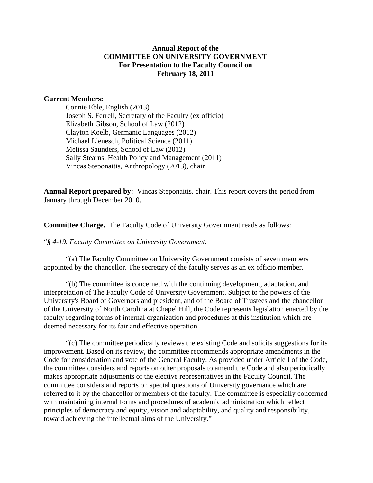#### **Annual Report of the COMMITTEE ON UNIVERSITY GOVERNMENT For Presentation to the Faculty Council on February 18, 2011**

#### **Current Members:**

Connie Eble, English (2013) Joseph S. Ferrell, Secretary of the Faculty (ex officio) Elizabeth Gibson, School of Law (2012) Clayton Koelb, Germanic Languages (2012) Michael Lienesch, Political Science (2011) Melissa Saunders, School of Law (2012) Sally Stearns, Health Policy and Management (2011) Vincas Steponaitis, Anthropology (2013), chair

**Annual Report prepared by:** Vincas Steponaitis, chair. This report covers the period from January through December 2010.

**Committee Charge.** The Faculty Code of University Government reads as follows:

"*§ 4-19. Faculty Committee on University Government.* 

"(a) The Faculty Committee on University Government consists of seven members appointed by the chancellor. The secretary of the faculty serves as an ex officio member.

"(b) The committee is concerned with the continuing development, adaptation, and interpretation of The Faculty Code of University Government. Subject to the powers of the University's Board of Governors and president, and of the Board of Trustees and the chancellor of the University of North Carolina at Chapel Hill, the Code represents legislation enacted by the faculty regarding forms of internal organization and procedures at this institution which are deemed necessary for its fair and effective operation.

 "(c) The committee periodically reviews the existing Code and solicits suggestions for its improvement. Based on its review, the committee recommends appropriate amendments in the Code for consideration and vote of the General Faculty. As provided under Article I of the Code, the committee considers and reports on other proposals to amend the Code and also periodically makes appropriate adjustments of the elective representatives in the Faculty Council. The committee considers and reports on special questions of University governance which are referred to it by the chancellor or members of the faculty. The committee is especially concerned with maintaining internal forms and procedures of academic administration which reflect principles of democracy and equity, vision and adaptability, and quality and responsibility, toward achieving the intellectual aims of the University."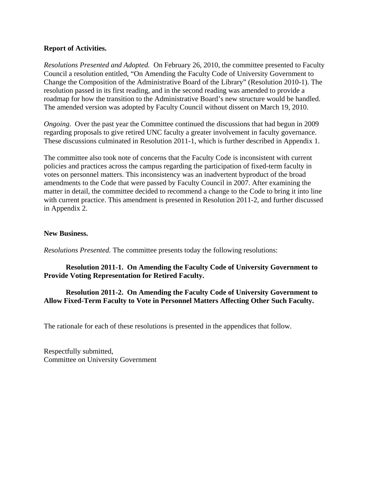#### **Report of Activities.**

*Resolutions Presented and Adopted.* On February 26, 2010, the committee presented to Faculty Council a resolution entitled, "On Amending the Faculty Code of University Government to Change the Composition of the Administrative Board of the Library" (Resolution 2010-1). The resolution passed in its first reading, and in the second reading was amended to provide a roadmap for how the transition to the Administrative Board's new structure would be handled. The amended version was adopted by Faculty Council without dissent on March 19, 2010.

*Ongoing.* Over the past year the Committee continued the discussions that had begun in 2009 regarding proposals to give retired UNC faculty a greater involvement in faculty governance. These discussions culminated in Resolution 2011-1, which is further described in Appendix 1.

The committee also took note of concerns that the Faculty Code is inconsistent with current policies and practices across the campus regarding the participation of fixed-term faculty in votes on personnel matters. This inconsistency was an inadvertent byproduct of the broad amendments to the Code that were passed by Faculty Council in 2007. After examining the matter in detail, the committee decided to recommend a change to the Code to bring it into line with current practice. This amendment is presented in Resolution 2011-2, and further discussed in Appendix 2.

#### **New Business.**

*Resolutions Presented.* The committee presents today the following resolutions:

## **Resolution 2011-1. On Amending the Faculty Code of University Government to Provide Voting Representation for Retired Faculty.**

## **Resolution 2011-2. On Amending the Faculty Code of University Government to Allow Fixed-Term Faculty to Vote in Personnel Matters Affecting Other Such Faculty.**

The rationale for each of these resolutions is presented in the appendices that follow.

Respectfully submitted, Committee on University Government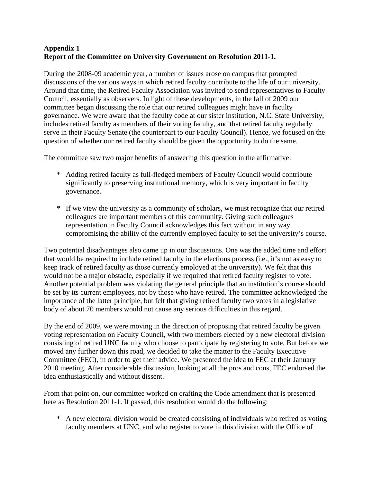## **Appendix 1 Report of the Committee on University Government on Resolution 2011-1.**

During the 2008-09 academic year, a number of issues arose on campus that prompted discussions of the various ways in which retired faculty contribute to the life of our university. Around that time, the Retired Faculty Association was invited to send representatives to Faculty Council, essentially as observers. In light of these developments, in the fall of 2009 our committee began discussing the role that our retired colleagues might have in faculty governance. We were aware that the faculty code at our sister institution, N.C. State University, includes retired faculty as members of their voting faculty, and that retired faculty regularly serve in their Faculty Senate (the counterpart to our Faculty Council). Hence, we focused on the question of whether our retired faculty should be given the opportunity to do the same.

The committee saw two major benefits of answering this question in the affirmative:

- \* Adding retired faculty as full-fledged members of Faculty Council would contribute significantly to preserving institutional memory, which is very important in faculty governance.
- \* If we view the university as a community of scholars, we must recognize that our retired colleagues are important members of this community. Giving such colleagues representation in Faculty Council acknowledges this fact without in any way compromising the ability of the currently employed faculty to set the university's course.

Two potential disadvantages also came up in our discussions. One was the added time and effort that would be required to include retired faculty in the elections process (i.e., it's not as easy to keep track of retired faculty as those currently employed at the university). We felt that this would not be a major obstacle, especially if we required that retired faculty register to vote. Another potential problem was violating the general principle that an institution's course should be set by its current employees, not by those who have retired. The committee acknowledged the importance of the latter principle, but felt that giving retired faculty two votes in a legislative body of about 70 members would not cause any serious difficulties in this regard.

By the end of 2009, we were moving in the direction of proposing that retired faculty be given voting representation on Faculty Council, with two members elected by a new electoral division consisting of retired UNC faculty who choose to participate by registering to vote. But before we moved any further down this road, we decided to take the matter to the Faculty Executive Committee (FEC), in order to get their advice. We presented the idea to FEC at their January 2010 meeting. After considerable discussion, looking at all the pros and cons, FEC endorsed the idea enthusiastically and without dissent.

From that point on, our committee worked on crafting the Code amendment that is presented here as Resolution 2011-1. If passed, this resolution would do the following:

 \* A new electoral division would be created consisting of individuals who retired as voting faculty members at UNC, and who register to vote in this division with the Office of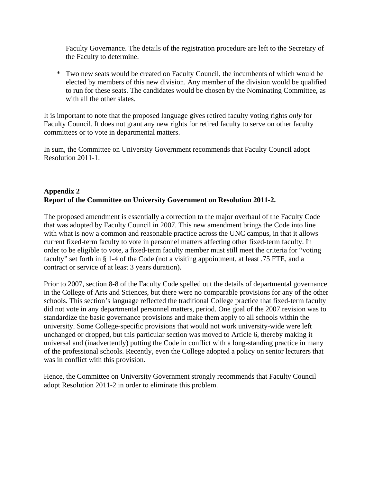Faculty Governance. The details of the registration procedure are left to the Secretary of the Faculty to determine.

 \* Two new seats would be created on Faculty Council, the incumbents of which would be elected by members of this new division. Any member of the division would be qualified to run for these seats. The candidates would be chosen by the Nominating Committee, as with all the other slates.

It is important to note that the proposed language gives retired faculty voting rights *only* for Faculty Council. It does not grant any new rights for retired faculty to serve on other faculty committees or to vote in departmental matters.

In sum, the Committee on University Government recommends that Faculty Council adopt Resolution 2011-1.

# **Appendix 2 Report of the Committee on University Government on Resolution 2011-2.**

The proposed amendment is essentially a correction to the major overhaul of the Faculty Code that was adopted by Faculty Council in 2007. This new amendment brings the Code into line with what is now a common and reasonable practice across the UNC campus, in that it allows current fixed-term faculty to vote in personnel matters affecting other fixed-term faculty. In order to be eligible to vote, a fixed-term faculty member must still meet the criteria for "voting faculty" set forth in § 1-4 of the Code (not a visiting appointment, at least .75 FTE, and a contract or service of at least 3 years duration).

Prior to 2007, section 8-8 of the Faculty Code spelled out the details of departmental governance in the College of Arts and Sciences, but there were no comparable provisions for any of the other schools. This section's language reflected the traditional College practice that fixed-term faculty did not vote in any departmental personnel matters, period. One goal of the 2007 revision was to standardize the basic governance provisions and make them apply to all schools within the university. Some College-specific provisions that would not work university-wide were left unchanged or dropped, but this particular section was moved to Article 6, thereby making it universal and (inadvertently) putting the Code in conflict with a long-standing practice in many of the professional schools. Recently, even the College adopted a policy on senior lecturers that was in conflict with this provision.

Hence, the Committee on University Government strongly recommends that Faculty Council adopt Resolution 2011-2 in order to eliminate this problem.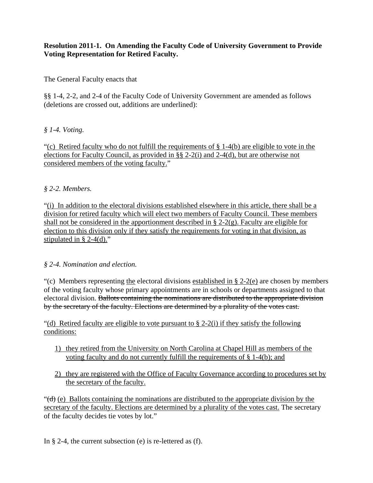## **Resolution 2011-1. On Amending the Faculty Code of University Government to Provide Voting Representation for Retired Faculty.**

The General Faculty enacts that

§§ 1-4, 2-2, and 2-4 of the Faculty Code of University Government are amended as follows (deletions are crossed out, additions are underlined):

## *§ 1-4. Voting.*

"(c) Retired faculty who do not fulfill the requirements of  $\S 1-4(b)$  are eligible to vote in the elections for Faculty Council, as provided in §§ 2-2(i) and 2-4(d), but are otherwise not considered members of the voting faculty."

## *§ 2-2. Members.*

"(i) In addition to the electoral divisions established elsewhere in this article, there shall be a division for retired faculty which will elect two members of Faculty Council. These members shall not be considered in the apportionment described in  $\S$  2-2(g). Faculty are eligible for election to this division only if they satisfy the requirements for voting in that division, as stipulated in § 2-4(d)."

## *§ 2-4. Nomination and election.*

"(c) Members representing the electoral divisions established in  $\S$  2-2(e) are chosen by members of the voting faculty whose primary appointments are in schools or departments assigned to that electoral division. Ballots containing the nominations are distributed to the appropriate division by the secretary of the faculty. Elections are determined by a plurality of the votes cast.

"(d) Retired faculty are eligible to vote pursuant to  $\S 2-2(i)$  if they satisfy the following conditions:

- 1) they retired from the University on North Carolina at Chapel Hill as members of the voting faculty and do not currently fulfill the requirements of § 1-4(b); and
- 2) they are registered with the Office of Faculty Governance according to procedures set by the secretary of the faculty.

" $(\vec{d})$  (e) Ballots containing the nominations are distributed to the appropriate division by the secretary of the faculty. Elections are determined by a plurality of the votes cast. The secretary of the faculty decides tie votes by lot."

In § 2-4, the current subsection (e) is re-lettered as (f).